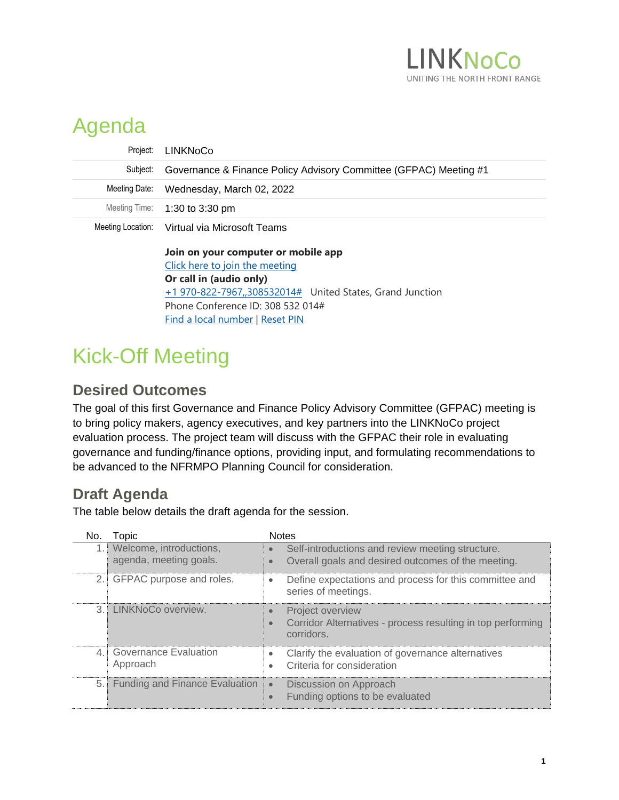

## Agenda

| Project:      | LINKNoCo                                                          |
|---------------|-------------------------------------------------------------------|
| Subject:      | Governance & Finance Policy Advisory Committee (GFPAC) Meeting #1 |
| Meeting Date: | Wednesday, March 02, 2022                                         |
|               | Meeting Time: 1:30 to 3:30 pm                                     |
|               | Meeting Location: Virtual via Microsoft Teams                     |
|               | Join on your computer or mobile app                               |

[Click here to join the meeting](https://nam12.safelinks.protection.outlook.com/ap/t-59584e83/?url=https%3A%2F%2Fteams.microsoft.com%2Fl%2Fmeetup-join%2F19%253ameeting_NmEwMjA0OTUtNWVkOS00ZmNmLWFlMTItYjA1ODI4YWYwOWE1%2540thread.v2%2F0%3Fcontext%3D%257b%2522Tid%2522%253a%2522aa1d4330-f3e2-4ab4-add6-3385fc367439%2522%252c%2522Oid%2522%253a%2522e14b03ec-ecc0-4f6e-ace9-9ba1a8d5e9e7%2522%257d&data=04%7C01%7CCarla.Perez%40hdrinc.com%7Cd85a289ca63a4551deb008d9ed74c6b6%7C3667e201cbdc48b39b425d2d3f16e2a9%7C0%7C0%7C637801908076475408%7CUnknown%7CTWFpbGZsb3d8eyJWIjoiMC4wLjAwMDAiLCJQIjoiV2luMzIiLCJBTiI6Ik1haWwiLCJXVCI6Mn0%3D%7C3000&sdata=O9XWAEdVn%2F2wi4pIrHRuiiUOtDQ5fAE5jSd%2B6D2P4jQ%3D&reserved=0) **Or call in (audio only)** [+1 970-822-7967,,308532014#](tel:+19708227967,,308532014# ) United States, Grand Junction Phone Conference ID: 308 532 014# [Find a local number](https://nam12.safelinks.protection.outlook.com/?url=https%3A%2F%2Fdialin.teams.microsoft.com%2Ff0a731a3-43a1-4644-93ed-49aa13763065%3Fid%3D308532014&data=04%7C01%7CCarla.Perez%40hdrinc.com%7Cd85a289ca63a4551deb008d9ed74c6b6%7C3667e201cbdc48b39b425d2d3f16e2a9%7C0%7C0%7C637801908076475408%7CUnknown%7CTWFpbGZsb3d8eyJWIjoiMC4wLjAwMDAiLCJQIjoiV2luMzIiLCJBTiI6Ik1haWwiLCJXVCI6Mn0%3D%7C3000&sdata=F%2F%2F%2FmiK%2BobmekXjhbuTRaK4al9W4NT2Txoq%2BzhVtMd0%3D&reserved=0) | [Reset PIN](https://nam12.safelinks.protection.outlook.com/?url=https%3A%2F%2Fmysettings.lync.com%2Fpstnconferencing&data=04%7C01%7CCarla.Perez%40hdrinc.com%7Cd85a289ca63a4551deb008d9ed74c6b6%7C3667e201cbdc48b39b425d2d3f16e2a9%7C0%7C0%7C637801908076475408%7CUnknown%7CTWFpbGZsb3d8eyJWIjoiMC4wLjAwMDAiLCJQIjoiV2luMzIiLCJBTiI6Ik1haWwiLCJXVCI6Mn0%3D%7C3000&sdata=%2FW58yNKtwLWB1%2FDXFIZQctCFRX1c47OmF3vz60JUSXA%3D&reserved=0)

## Kick-Off Meeting

## **Desired Outcomes**

The goal of this first Governance and Finance Policy Advisory Committee (GFPAC) meeting is to bring policy makers, agency executives, and key partners into the LINKNoCo project evaluation process. The project team will discuss with the GFPAC their role in evaluating governance and funding/finance options, providing input, and formulating recommendations to be advanced to the NFRMPO Planning Council for consideration.

## **Draft Agenda**

The table below details the draft agenda for the session.

| No.            | Topic                                             | <b>Notes</b>                                                                                                      |
|----------------|---------------------------------------------------|-------------------------------------------------------------------------------------------------------------------|
|                | Welcome, introductions,<br>agenda, meeting goals. | Self-introductions and review meeting structure.<br>Overall goals and desired outcomes of the meeting.            |
| 2.1            | GFPAC purpose and roles.                          | Define expectations and process for this committee and<br>$\bullet$<br>series of meetings.                        |
|                | 3. LINKNoCo overview.                             | <b>Project overview</b><br>Corridor Alternatives - process resulting in top performing<br>$\bullet$<br>corridors. |
| $\overline{4}$ | <b>Governance Evaluation</b><br>Approach          | Clarify the evaluation of governance alternatives<br>Criteria for consideration<br>$\bullet$                      |
| $5.$ "         | <b>Funding and Finance Evaluation</b>             | Discussion on Approach<br>$\bullet$<br>Funding options to be evaluated<br>$\bullet$                               |